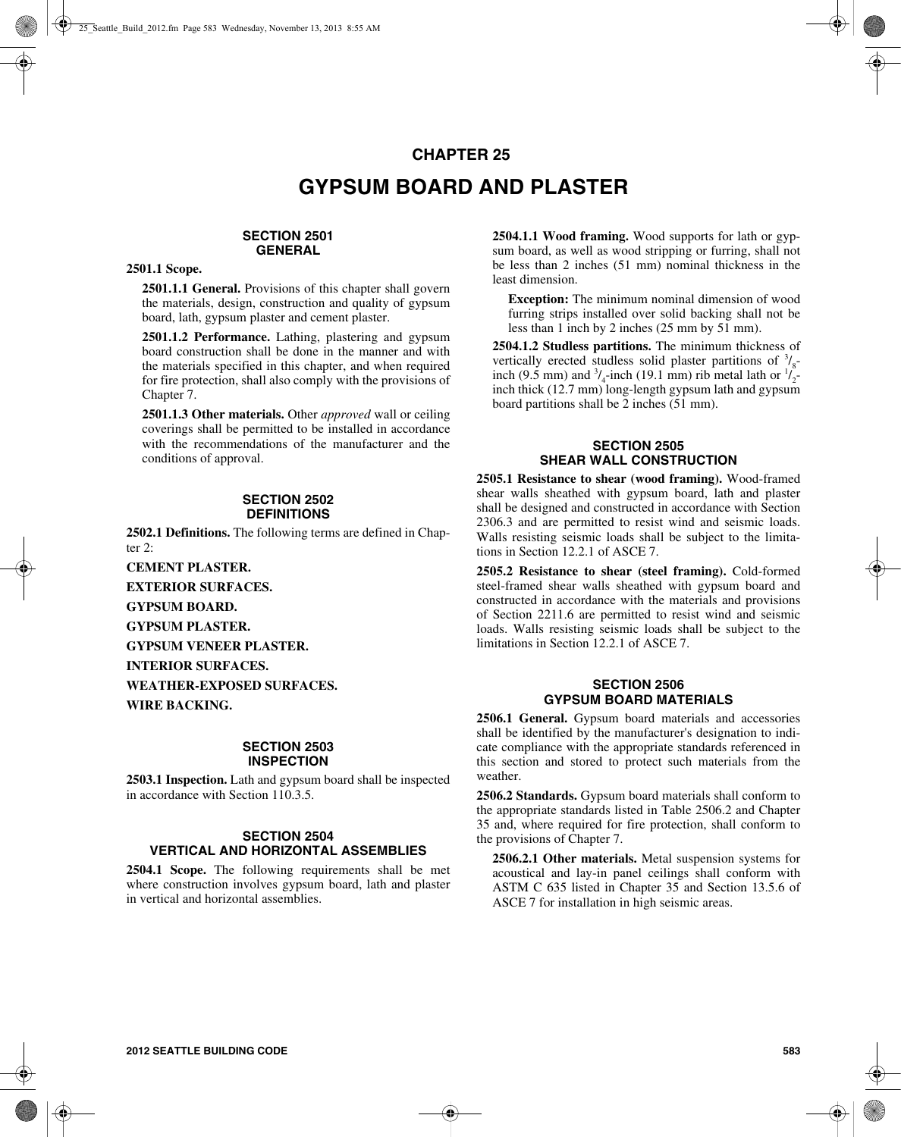# **CHAPTER 25 GYPSUM BOARD AND PLASTER**

## **SECTION 2501 GENERAL**

#### **2501.1 Scope.**

**2501.1.1 General.** Provisions of this chapter shall govern the materials, design, construction and quality of gypsum board, lath, gypsum plaster and cement plaster.

**2501.1.2 Performance.** Lathing, plastering and gypsum board construction shall be done in the manner and with the materials specified in this chapter, and when required for fire protection, shall also comply with the provisions of Chapter 7.

**2501.1.3 Other materials.** Other *approved* wall or ceiling coverings shall be permitted to be installed in accordance with the recommendations of the manufacturer and the conditions of approval.

#### **SECTION 2502 DEFINITIONS**

**2502.1 Definitions.** The following terms are defined in Chapter 2:

**CEMENT PLASTER.**

**EXTERIOR SURFACES.**

**GYPSUM BOARD.**

**GYPSUM PLASTER.**

**GYPSUM VENEER PLASTER.**

**INTERIOR SURFACES.**

**WEATHER-EXPOSED SURFACES.**

**WIRE BACKING.**

#### **SECTION 2503 INSPECTION**

**2503.1 Inspection.** Lath and gypsum board shall be inspected in accordance with Section 110.3.5.

### **SECTION 2504 VERTICAL AND HORIZONTAL ASSEMBLIES**

**2504.1 Scope.** The following requirements shall be met where construction involves gypsum board, lath and plaster in vertical and horizontal assemblies.

**2504.1.1 Wood framing.** Wood supports for lath or gypsum board, as well as wood stripping or furring, shall not be less than 2 inches (51 mm) nominal thickness in the least dimension.

**Exception:** The minimum nominal dimension of wood furring strips installed over solid backing shall not be less than 1 inch by 2 inches (25 mm by 51 mm).

**2504.1.2 Studless partitions.** The minimum thickness of vertically erected studless solid plaster partitions of  $\frac{3}{8}$ inch (9.5 mm) and  $\frac{3}{4}$ -inch (19.1 mm) rib metal lath or  $\frac{1}{2}$ inch thick (12.7 mm) long-length gypsum lath and gypsum board partitions shall be 2 inches (51 mm).

## **SECTION 2505 SHEAR WALL CONSTRUCTION**

**2505.1 Resistance to shear (wood framing).** Wood-framed shear walls sheathed with gypsum board, lath and plaster shall be designed and constructed in accordance with Section 2306.3 and are permitted to resist wind and seismic loads. Walls resisting seismic loads shall be subject to the limitations in Section 12.2.1 of ASCE 7.

**2505.2 Resistance to shear (steel framing).** Cold-formed steel-framed shear walls sheathed with gypsum board and constructed in accordance with the materials and provisions of Section 2211.6 are permitted to resist wind and seismic loads. Walls resisting seismic loads shall be subject to the limitations in Section 12.2.1 of ASCE 7.

## **SECTION 2506 GYPSUM BOARD MATERIALS**

**2506.1 General.** Gypsum board materials and accessories shall be identified by the manufacturer's designation to indicate compliance with the appropriate standards referenced in this section and stored to protect such materials from the weather.

**2506.2 Standards.** Gypsum board materials shall conform to the appropriate standards listed in Table 2506.2 and Chapter 35 and, where required for fire protection, shall conform to the provisions of Chapter 7.

**2506.2.1 Other materials.** Metal suspension systems for acoustical and lay-in panel ceilings shall conform with ASTM C 635 listed in Chapter 35 and Section 13.5.6 of ASCE 7 for installation in high seismic areas.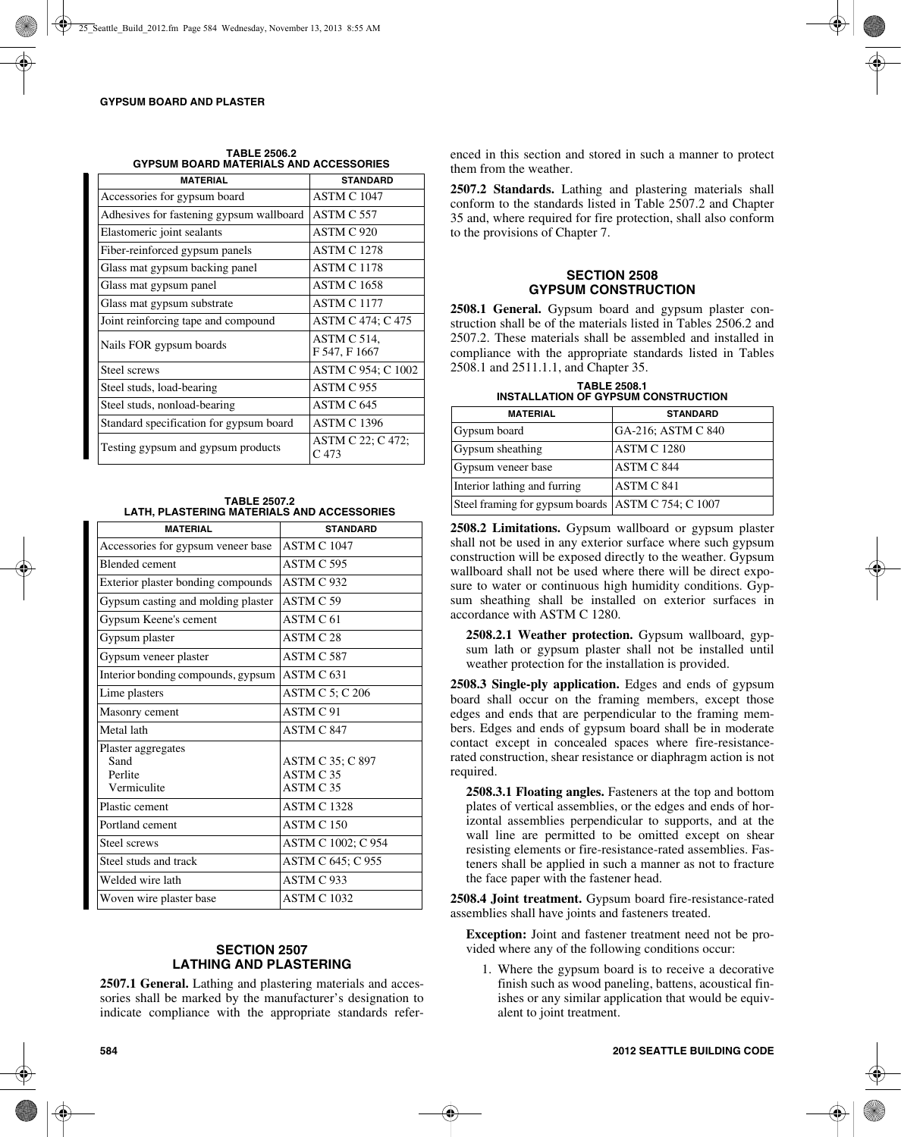| <b>MATERIAL</b>                          | <b>STANDARD</b>                       |
|------------------------------------------|---------------------------------------|
| Accessories for gypsum board             | <b>ASTM C 1047</b>                    |
| Adhesives for fastening gypsum wallboard | ASTM C 557                            |
| Elastomeric joint sealants               | ASTM C 920                            |
| Fiber-reinforced gypsum panels           | <b>ASTM C 1278</b>                    |
| Glass mat gypsum backing panel           | <b>ASTM C 1178</b>                    |
| Glass mat gypsum panel                   | ASTM C 1658                           |
| Glass mat gypsum substrate               | <b>ASTM C 1177</b>                    |
| Joint reinforcing tape and compound      | ASTM C 474; C 475                     |
| Nails FOR gypsum boards                  | ASTM C 514,<br>F 547, F 1667          |
| Steel screws                             | ASTM C 954; C 1002                    |
| Steel studs, load-bearing                | ASTM C 955                            |
| Steel studs, nonload-bearing             | ASTM C 645                            |
| Standard specification for gypsum board  | <b>ASTM C 1396</b>                    |
| Testing gypsum and gypsum products       | ASTM C 22; C 472;<br>C <sub>473</sub> |

**TABLE 2506.2 GYPSUM BOARD MATERIALS AND ACCESSORIES**

**TABLE 2507.2 LATH, PLASTERING MATERIALS AND ACCESSORIES**

| <b>MATERIAL</b>                                      | <b>STANDARD</b>                                       |  |
|------------------------------------------------------|-------------------------------------------------------|--|
| Accessories for gypsum veneer base                   | <b>ASTM C 1047</b>                                    |  |
| <b>Blended</b> cement                                | ASTM C 595                                            |  |
| Exterior plaster bonding compounds                   | ASTM C 932                                            |  |
| Gypsum casting and molding plaster                   | ASTM C 59                                             |  |
| Gypsum Keene's cement                                | ASTM C 61                                             |  |
| Gypsum plaster                                       | ASTM C.28                                             |  |
| Gypsum veneer plaster                                | ASTM C 587                                            |  |
| Interior bonding compounds, gypsum                   | ASTM C <sub>631</sub>                                 |  |
| Lime plasters                                        | ASTM C 5; C 206                                       |  |
| Masonry cement                                       | ASTM <sub>C</sub> 91                                  |  |
| Metal lath                                           | ASTM C 847                                            |  |
| Plaster aggregates<br>Sand<br>Perlite<br>Vermiculite | ASTM C 35; C 897<br>ASTM C <sub>35</sub><br>ASTM C 35 |  |
| Plastic cement                                       | <b>ASTM C 1328</b>                                    |  |
| Portland cement                                      | ASTM C <sub>150</sub>                                 |  |
| Steel screws                                         | ASTM C 1002; C 954                                    |  |
| Steel studs and track                                | ASTM C 645; C 955                                     |  |
| Welded wire lath                                     | ASTM C 933                                            |  |
| Woven wire plaster base                              | <b>ASTM C 1032</b>                                    |  |

## **SECTION 2507 LATHING AND PLASTERING**

**2507.1 General.** Lathing and plastering materials and accessories shall be marked by the manufacturer's designation to indicate compliance with the appropriate standards referenced in this section and stored in such a manner to protect them from the weather.

**2507.2 Standards.** Lathing and plastering materials shall conform to the standards listed in Table 2507.2 and Chapter 35 and, where required for fire protection, shall also conform to the provisions of Chapter 7.

## **SECTION 2508 GYPSUM CONSTRUCTION**

**2508.1 General.** Gypsum board and gypsum plaster construction shall be of the materials listed in Tables 2506.2 and 2507.2. These materials shall be assembled and installed in compliance with the appropriate standards listed in Tables 2508.1 and 2511.1.1, and Chapter 35.

**TABLE 2508.1 INSTALLATION OF GYPSUM CONSTRUCTION**

| <b>MATERIAL</b>                                      | <b>STANDARD</b>    |
|------------------------------------------------------|--------------------|
| Gypsum board                                         | GA-216; ASTM C 840 |
| Gypsum sheathing                                     | <b>ASTM C 1280</b> |
| Gypsum veneer base                                   | <b>ASTM C 844</b>  |
| Interior lathing and furring                         | ASTM C 841         |
| Steel framing for gypsum boards   ASTM C 754; C 1007 |                    |

**2508.2 Limitations.** Gypsum wallboard or gypsum plaster shall not be used in any exterior surface where such gypsum construction will be exposed directly to the weather. Gypsum wallboard shall not be used where there will be direct exposure to water or continuous high humidity conditions. Gypsum sheathing shall be installed on exterior surfaces in accordance with ASTM C 1280.

**2508.2.1 Weather protection.** Gypsum wallboard, gypsum lath or gypsum plaster shall not be installed until weather protection for the installation is provided.

**2508.3 Single-ply application.** Edges and ends of gypsum board shall occur on the framing members, except those edges and ends that are perpendicular to the framing members. Edges and ends of gypsum board shall be in moderate contact except in concealed spaces where fire-resistancerated construction, shear resistance or diaphragm action is not required.

**2508.3.1 Floating angles.** Fasteners at the top and bottom plates of vertical assemblies, or the edges and ends of horizontal assemblies perpendicular to supports, and at the wall line are permitted to be omitted except on shear resisting elements or fire-resistance-rated assemblies. Fasteners shall be applied in such a manner as not to fracture the face paper with the fastener head.

**2508.4 Joint treatment.** Gypsum board fire-resistance-rated assemblies shall have joints and fasteners treated.

**Exception:** Joint and fastener treatment need not be provided where any of the following conditions occur:

1. Where the gypsum board is to receive a decorative finish such as wood paneling, battens, acoustical finishes or any similar application that would be equivalent to joint treatment.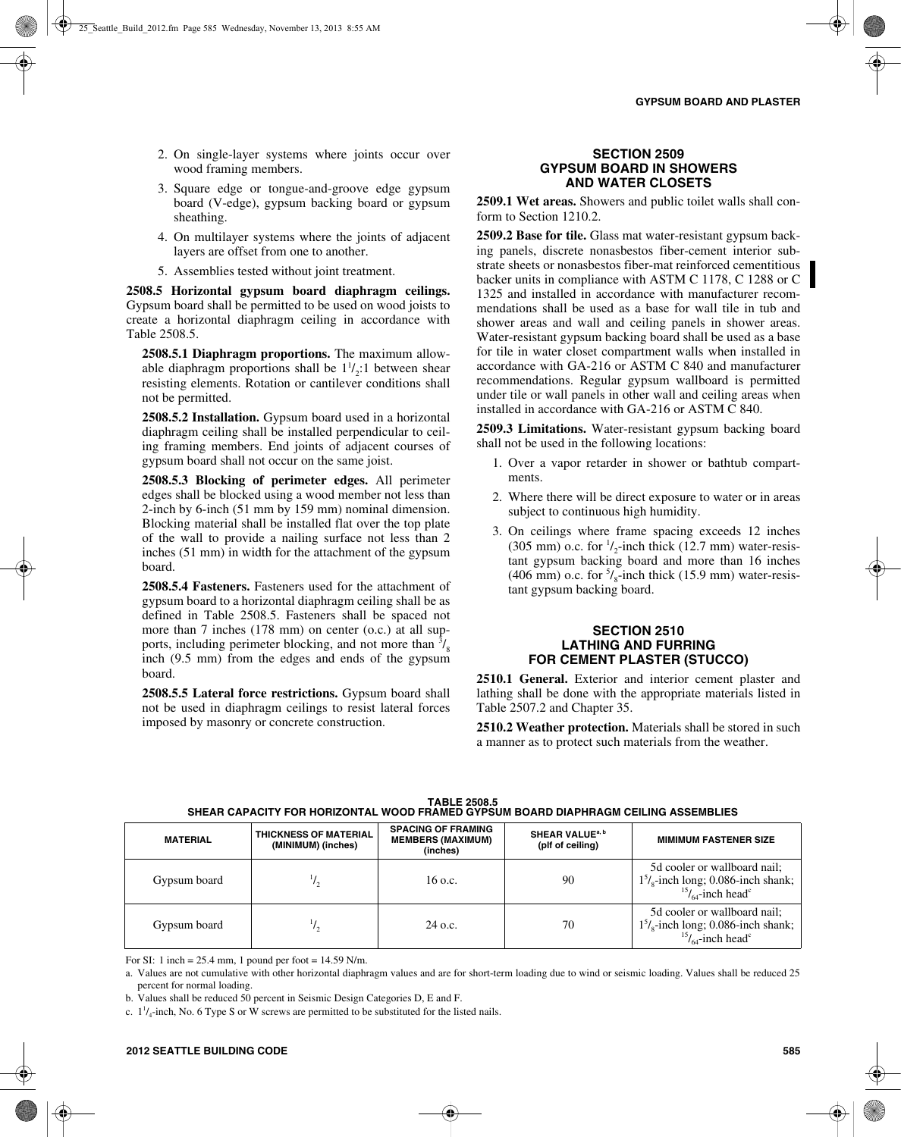- 2. On single-layer systems where joints occur over wood framing members.
- 3. Square edge or tongue-and-groove edge gypsum board (V-edge), gypsum backing board or gypsum sheathing.
- 4. On multilayer systems where the joints of adjacent layers are offset from one to another.
- 5. Assemblies tested without joint treatment.

**2508.5 Horizontal gypsum board diaphragm ceilings.** Gypsum board shall be permitted to be used on wood joists to create a horizontal diaphragm ceiling in accordance with Table 2508.5.

**2508.5.1 Diaphragm proportions.** The maximum allowable diaphragm proportions shall be  $1^1/2:1$  between shear resisting elements. Rotation or cantilever conditions shall not be permitted.

**2508.5.2 Installation.** Gypsum board used in a horizontal diaphragm ceiling shall be installed perpendicular to ceiling framing members. End joints of adjacent courses of gypsum board shall not occur on the same joist.

**2508.5.3 Blocking of perimeter edges.** All perimeter edges shall be blocked using a wood member not less than 2-inch by 6-inch (51 mm by 159 mm) nominal dimension. Blocking material shall be installed flat over the top plate of the wall to provide a nailing surface not less than 2 inches (51 mm) in width for the attachment of the gypsum board.

**2508.5.4 Fasteners.** Fasteners used for the attachment of gypsum board to a horizontal diaphragm ceiling shall be as defined in Table 2508.5. Fasteners shall be spaced not more than 7 inches (178 mm) on center (o.c.) at all supports, including perimeter blocking, and not more than  $\frac{3}{8}$ inch (9.5 mm) from the edges and ends of the gypsum board.

**2508.5.5 Lateral force restrictions.** Gypsum board shall not be used in diaphragm ceilings to resist lateral forces imposed by masonry or concrete construction.

#### **SECTION 2509 GYPSUM BOARD IN SHOWERS AND WATER CLOSETS**

**2509.1 Wet areas.** Showers and public toilet walls shall conform to Section 1210.2.

**2509.2 Base for tile.** Glass mat water-resistant gypsum backing panels, discrete nonasbestos fiber-cement interior substrate sheets or nonasbestos fiber-mat reinforced cementitious backer units in compliance with ASTM C 1178, C 1288 or C 1325 and installed in accordance with manufacturer recommendations shall be used as a base for wall tile in tub and shower areas and wall and ceiling panels in shower areas. Water-resistant gypsum backing board shall be used as a base for tile in water closet compartment walls when installed in accordance with GA-216 or ASTM C 840 and manufacturer recommendations. Regular gypsum wallboard is permitted under tile or wall panels in other wall and ceiling areas when installed in accordance with GA-216 or ASTM C 840.

**2509.3 Limitations.** Water-resistant gypsum backing board shall not be used in the following locations:

- 1. Over a vapor retarder in shower or bathtub compartments.
- 2. Where there will be direct exposure to water or in areas subject to continuous high humidity.
- 3. On ceilings where frame spacing exceeds 12 inches (305 mm) o.c. for  $\frac{1}{2}$ -inch thick (12.7 mm) water-resistant gypsum backing board and more than 16 inches (406 mm) o.c. for  $\frac{5}{8}$ -inch thick (15.9 mm) water-resistant gypsum backing board.

#### **SECTION 2510 LATHING AND FURRING FOR CEMENT PLASTER (STUCCO)**

**2510.1 General.** Exterior and interior cement plaster and lathing shall be done with the appropriate materials listed in Table 2507.2 and Chapter 35.

**2510.2 Weather protection.** Materials shall be stored in such a manner as to protect such materials from the weather.

| <b>MATERIAL</b> | <b>THICKNESS OF MATERIAL</b><br>(MINIMUM) (inches) | <b>SPACING OF FRAMING</b><br><b>MEMBERS (MAXIMUM)</b> | <b>SHEAR VALUE<sup>a, b</sup></b><br>(plf of ceiling) | <b>MIMIMUM FASTENER SIZE</b>                                                                                                       |
|-----------------|----------------------------------------------------|-------------------------------------------------------|-------------------------------------------------------|------------------------------------------------------------------------------------------------------------------------------------|
|                 |                                                    | (inches)                                              |                                                       |                                                                                                                                    |
| Gypsum board    |                                                    | $16$ o.c.                                             | 90                                                    | 5d cooler or wallboard nail;<br>$1^5/\text{s}$ -inch long; 0.086-inch shank;<br>$1^5/\text{s}$ -inch head <sup>c</sup>             |
| Gypsum board    |                                                    | $24$ o.c.                                             | 70                                                    | 5d cooler or wallboard nail;<br>$15$ <sub>8</sub> -inch long; 0.086-inch shank;<br>$^{15}$ / <sub>64</sub> -inch head <sup>c</sup> |

**TABLE 2508.5 SHEAR CAPACITY FOR HORIZONTAL WOOD FRAMED GYPSUM BOARD DIAPHRAGM CEILING ASSEMBLIES**

For SI: 1 inch =  $25.4$  mm, 1 pound per foot =  $14.59$  N/m.

a. Values are not cumulative with other horizontal diaphragm values and are for short-term loading due to wind or seismic loading. Values shall be reduced 25 percent for normal loading.

b. Values shall be reduced 50 percent in Seismic Design Categories D, E and F.

c.  $1^1/4$ -inch, No. 6 Type S or W screws are permitted to be substituted for the listed nails.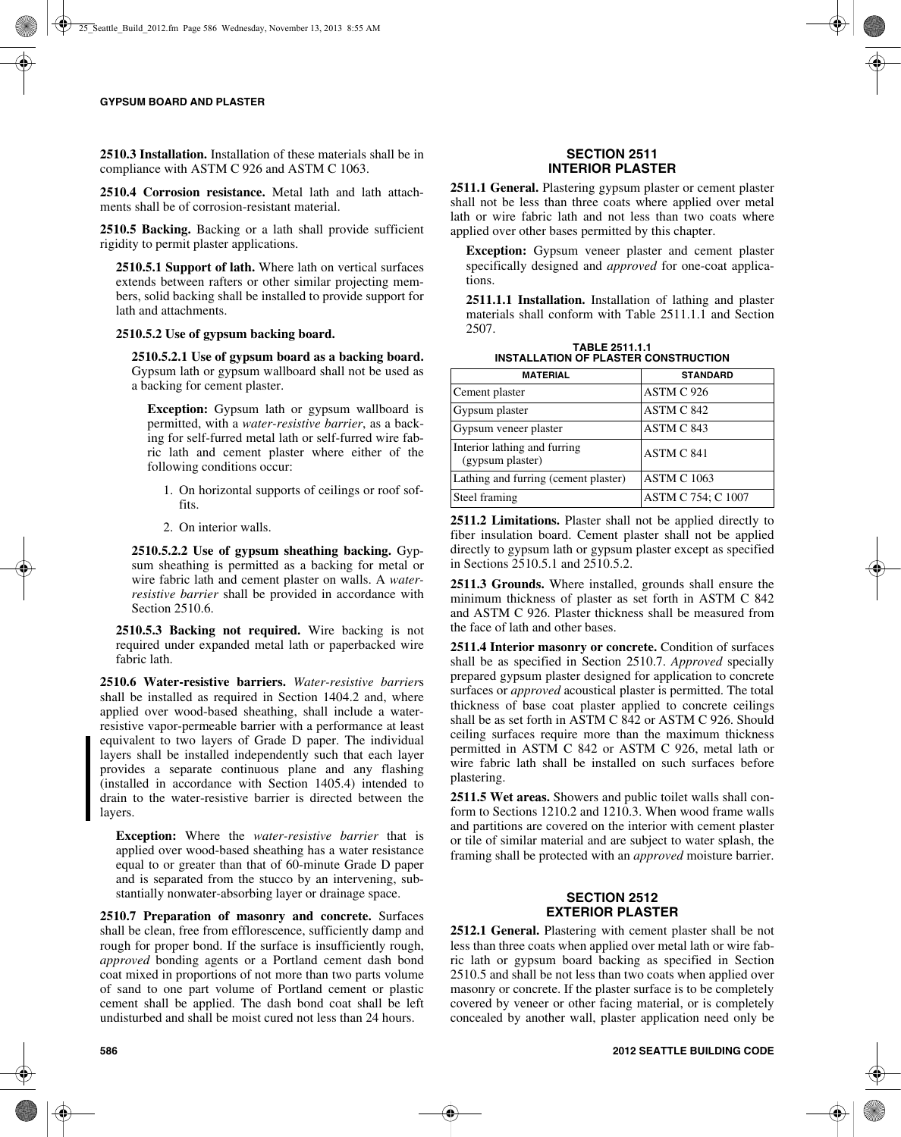**2510.3 Installation.** Installation of these materials shall be in compliance with ASTM C 926 and ASTM C 1063.

**2510.4 Corrosion resistance.** Metal lath and lath attachments shall be of corrosion-resistant material.

**2510.5 Backing.** Backing or a lath shall provide sufficient rigidity to permit plaster applications.

**2510.5.1 Support of lath.** Where lath on vertical surfaces extends between rafters or other similar projecting members, solid backing shall be installed to provide support for lath and attachments.

#### **2510.5.2 Use of gypsum backing board.**

**2510.5.2.1 Use of gypsum board as a backing board.** Gypsum lath or gypsum wallboard shall not be used as a backing for cement plaster.

**Exception:** Gypsum lath or gypsum wallboard is permitted, with a *water-resistive barrier*, as a backing for self-furred metal lath or self-furred wire fabric lath and cement plaster where either of the following conditions occur:

- 1. On horizontal supports of ceilings or roof soffits.
- 2. On interior walls.

**2510.5.2.2 Use of gypsum sheathing backing.** Gypsum sheathing is permitted as a backing for metal or wire fabric lath and cement plaster on walls. A *waterresistive barrier* shall be provided in accordance with Section 2510.6.

**2510.5.3 Backing not required.** Wire backing is not required under expanded metal lath or paperbacked wire fabric lath.

**2510.6 Water-resistive barriers.** *Water-resistive barrier*s shall be installed as required in Section 1404.2 and, where applied over wood-based sheathing, shall include a waterresistive vapor-permeable barrier with a performance at least equivalent to two layers of Grade D paper. The individual layers shall be installed independently such that each layer provides a separate continuous plane and any flashing (installed in accordance with Section 1405.4) intended to drain to the water-resistive barrier is directed between the layers.

**Exception:** Where the *water-resistive barrier* that is applied over wood-based sheathing has a water resistance equal to or greater than that of 60-minute Grade D paper and is separated from the stucco by an intervening, substantially nonwater-absorbing layer or drainage space.

**2510.7 Preparation of masonry and concrete.** Surfaces shall be clean, free from efflorescence, sufficiently damp and rough for proper bond. If the surface is insufficiently rough, *approved* bonding agents or a Portland cement dash bond coat mixed in proportions of not more than two parts volume of sand to one part volume of Portland cement or plastic cement shall be applied. The dash bond coat shall be left undisturbed and shall be moist cured not less than 24 hours.

**2511.1 General.** Plastering gypsum plaster or cement plaster shall not be less than three coats where applied over metal lath or wire fabric lath and not less than two coats where applied over other bases permitted by this chapter.

**Exception:** Gypsum veneer plaster and cement plaster specifically designed and *approved* for one-coat applications.

**2511.1.1 Installation.** Installation of lathing and plaster materials shall conform with Table 2511.1.1 and Section 2507.

**TABLE 2511.1.1 INSTALLATION OF PLASTER CONSTRUCTION**

| <b>MATERIAL</b>                                  | <b>STANDARD</b>    |
|--------------------------------------------------|--------------------|
| Cement plaster                                   | ASTM C 926         |
| Gypsum plaster                                   | ASTM C 842         |
| Gypsum veneer plaster                            | ASTM C 843         |
| Interior lathing and furring<br>(gypsum plaster) | ASTM C 841         |
| Lathing and furring (cement plaster)             | <b>ASTM C 1063</b> |
| Steel framing                                    | ASTM C 754; C 1007 |

**2511.2 Limitations.** Plaster shall not be applied directly to fiber insulation board. Cement plaster shall not be applied directly to gypsum lath or gypsum plaster except as specified in Sections 2510.5.1 and 2510.5.2.

**2511.3 Grounds.** Where installed, grounds shall ensure the minimum thickness of plaster as set forth in ASTM C 842 and ASTM C 926. Plaster thickness shall be measured from the face of lath and other bases.

**2511.4 Interior masonry or concrete.** Condition of surfaces shall be as specified in Section 2510.7. *Approved* specially prepared gypsum plaster designed for application to concrete surfaces or *approved* acoustical plaster is permitted. The total thickness of base coat plaster applied to concrete ceilings shall be as set forth in ASTM C 842 or ASTM C 926. Should ceiling surfaces require more than the maximum thickness permitted in ASTM C 842 or ASTM C 926, metal lath or wire fabric lath shall be installed on such surfaces before plastering.

**2511.5 Wet areas.** Showers and public toilet walls shall conform to Sections 1210.2 and 1210.3. When wood frame walls and partitions are covered on the interior with cement plaster or tile of similar material and are subject to water splash, the framing shall be protected with an *approved* moisture barrier.

# **SECTION 2512 EXTERIOR PLASTER**

**2512.1 General.** Plastering with cement plaster shall be not less than three coats when applied over metal lath or wire fabric lath or gypsum board backing as specified in Section 2510.5 and shall be not less than two coats when applied over masonry or concrete. If the plaster surface is to be completely covered by veneer or other facing material, or is completely concealed by another wall, plaster application need only be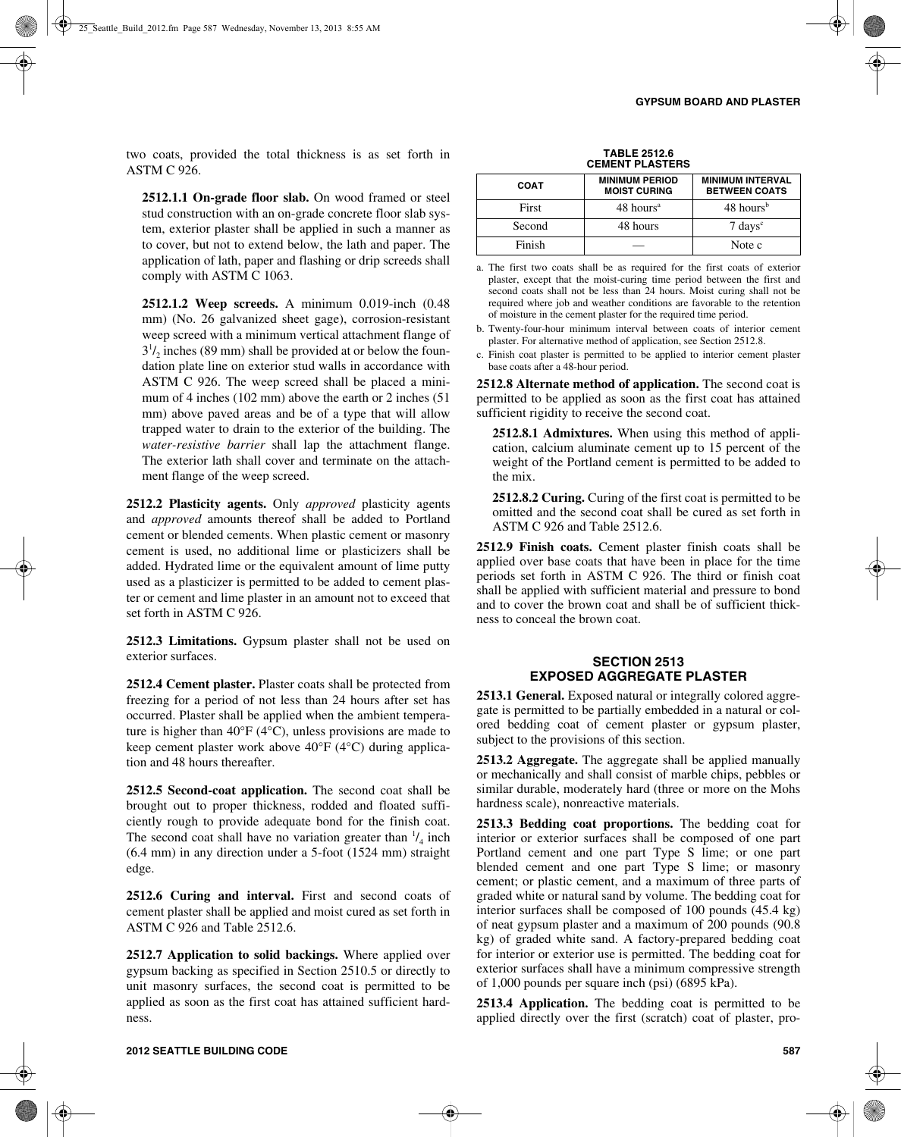two coats, provided the total thickness is as set forth in ASTM C 926.

**2512.1.1 On-grade floor slab.** On wood framed or steel stud construction with an on-grade concrete floor slab system, exterior plaster shall be applied in such a manner as to cover, but not to extend below, the lath and paper. The application of lath, paper and flashing or drip screeds shall comply with ASTM C 1063.

**2512.1.2 Weep screeds.** A minimum 0.019-inch (0.48 mm) (No. 26 galvanized sheet gage), corrosion-resistant weep screed with a minimum vertical attachment flange of  $3^{1}/_{2}$  inches (89 mm) shall be provided at or below the foundation plate line on exterior stud walls in accordance with ASTM C 926. The weep screed shall be placed a minimum of 4 inches (102 mm) above the earth or 2 inches (51 mm) above paved areas and be of a type that will allow trapped water to drain to the exterior of the building. The *water-resistive barrier* shall lap the attachment flange. The exterior lath shall cover and terminate on the attachment flange of the weep screed.

**2512.2 Plasticity agents.** Only *approved* plasticity agents and *approved* amounts thereof shall be added to Portland cement or blended cements. When plastic cement or masonry cement is used, no additional lime or plasticizers shall be added. Hydrated lime or the equivalent amount of lime putty used as a plasticizer is permitted to be added to cement plaster or cement and lime plaster in an amount not to exceed that set forth in ASTM C 926.

**2512.3 Limitations.** Gypsum plaster shall not be used on exterior surfaces.

**2512.4 Cement plaster.** Plaster coats shall be protected from freezing for a period of not less than 24 hours after set has occurred. Plaster shall be applied when the ambient temperature is higher than  $40^{\circ}F(4^{\circ}C)$ , unless provisions are made to keep cement plaster work above 40°F (4°C) during application and 48 hours thereafter.

**2512.5 Second-coat application.** The second coat shall be brought out to proper thickness, rodded and floated sufficiently rough to provide adequate bond for the finish coat. The second coat shall have no variation greater than  $\frac{1}{4}$  inch (6.4 mm) in any direction under a 5-foot (1524 mm) straight edge.

**2512.6 Curing and interval.** First and second coats of cement plaster shall be applied and moist cured as set forth in ASTM C 926 and Table 2512.6.

**2512.7 Application to solid backings.** Where applied over gypsum backing as specified in Section 2510.5 or directly to unit masonry surfaces, the second coat is permitted to be applied as soon as the first coat has attained sufficient hardness.

| <b>COAT</b> | <b>MINIMUM PERIOD</b><br><b>MOIST CURING</b> | <b>MINIMUM INTERVAL</b><br><b>BETWEEN COATS</b> |
|-------------|----------------------------------------------|-------------------------------------------------|
| First       | 48 hours <sup>a</sup>                        | 48 hours <sup>b</sup>                           |
| Second      | 48 hours                                     | $7 \text{ days}$ <sup>c</sup>                   |
| Finish      |                                              | Note c                                          |

a. The first two coats shall be as required for the first coats of exterior plaster, except that the moist-curing time period between the first and second coats shall not be less than 24 hours. Moist curing shall not be required where job and weather conditions are favorable to the retention of moisture in the cement plaster for the required time period.

b. Twenty-four-hour minimum interval between coats of interior cement plaster. For alternative method of application, see Section 2512.8.

c. Finish coat plaster is permitted to be applied to interior cement plaster base coats after a 48-hour period.

**2512.8 Alternate method of application.** The second coat is permitted to be applied as soon as the first coat has attained sufficient rigidity to receive the second coat.

**2512.8.1 Admixtures.** When using this method of application, calcium aluminate cement up to 15 percent of the weight of the Portland cement is permitted to be added to the mix.

**2512.8.2 Curing.** Curing of the first coat is permitted to be omitted and the second coat shall be cured as set forth in ASTM C 926 and Table 2512.6.

**2512.9 Finish coats.** Cement plaster finish coats shall be applied over base coats that have been in place for the time periods set forth in ASTM C 926. The third or finish coat shall be applied with sufficient material and pressure to bond and to cover the brown coat and shall be of sufficient thickness to conceal the brown coat.

## **SECTION 2513 EXPOSED AGGREGATE PLASTER**

**2513.1 General.** Exposed natural or integrally colored aggregate is permitted to be partially embedded in a natural or colored bedding coat of cement plaster or gypsum plaster, subject to the provisions of this section.

**2513.2 Aggregate.** The aggregate shall be applied manually or mechanically and shall consist of marble chips, pebbles or similar durable, moderately hard (three or more on the Mohs hardness scale), nonreactive materials.

**2513.3 Bedding coat proportions.** The bedding coat for interior or exterior surfaces shall be composed of one part Portland cement and one part Type S lime; or one part blended cement and one part Type S lime; or masonry cement; or plastic cement, and a maximum of three parts of graded white or natural sand by volume. The bedding coat for interior surfaces shall be composed of 100 pounds (45.4 kg) of neat gypsum plaster and a maximum of 200 pounds (90.8 kg) of graded white sand. A factory-prepared bedding coat for interior or exterior use is permitted. The bedding coat for exterior surfaces shall have a minimum compressive strength of 1,000 pounds per square inch (psi) (6895 kPa).

**2513.4 Application.** The bedding coat is permitted to be applied directly over the first (scratch) coat of plaster, pro-